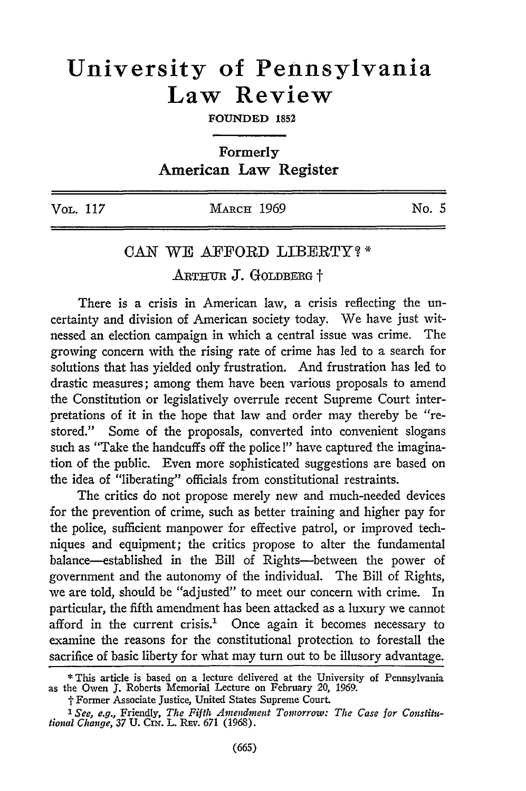## **University of Pennsylvania Law Review**

**FOUNDED 1852**

**Formerly American Law Register**

| Vol. 117 | <b>MARCH 1969</b> | No. 5 |
|----------|-------------------|-------|
|          |                   |       |

## **CAN** WE AFFORD LIBERTY? **\***

ARTHUR J. GOLDBERG <sup>+</sup>

There is a crisis in American law, a crisis reflecting the uncertainty and division of American society today. We have just witnessed an election campaign in which a central issue was crime. The growing concern with the rising rate of crime has led to a search for solutions that has yielded only frustration. And frustration has led to drastic measures; among them have been various proposals to amend the Constitution or legislatively overrule recent Supreme Court interpretations of it in the hope that law and order may thereby be "restored." Some of the proposals, converted into convenient slogans such as "Take the handcuffs off the police **!"** have captured the imagination of the public. Even more sophisticated suggestions are based on the idea of "liberating" officials from constitutional restraints.

The critics do not propose merely new and much-needed devices for the prevention of crime, such as better training and higher pay for the police, sufficient manpower for effective patrol, or improved techniques and equipment; the critics propose to alter the fundamental balance-established in the Bill of Rights-between the power of government and the autonomy of the individual. The Bill of Rights, we are told, should be "adjusted" to meet our concern with crime. In particular, the fifth amendment has been attacked as a luxury we cannot afford in the current crisis.<sup>1</sup> Once again it becomes necessary to examine the reasons for the constitutional protection to forestall the sacrifice of basic liberty for what may turn out to be illusory advantage.

**<sup>\*</sup>** This article is based on a lecture delivered at the University of Pennsylvania as the Owen J. Roberts Memorial Lecture on February 20, 1969.

**f** Former Associate Justice, United States Supreme Court.

*<sup>1</sup> See, e.g.,* Friendly, *The Fifth Amendment Tomorrow: The Case for Constitutional Change, 37* U. CIN. L. REv. 671 (1968).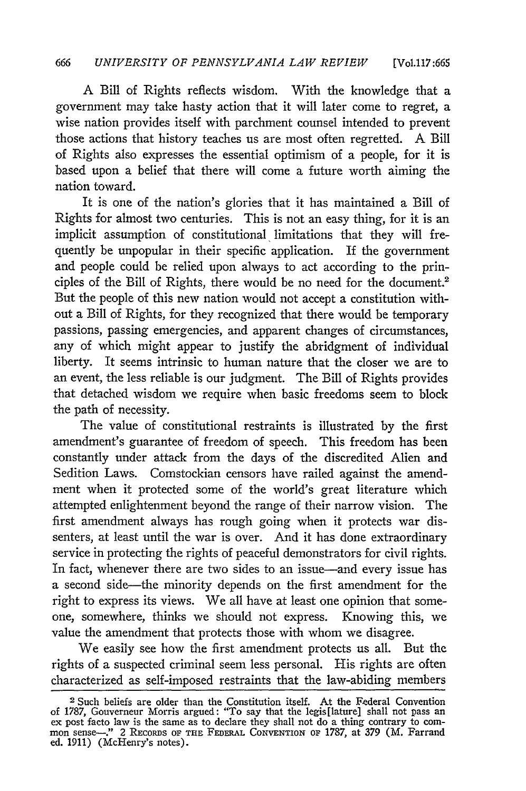A Bill of Rights reflects wisdom. With the knowledge that a government may take hasty action that it will later come to regret, a wise nation provides itself with parchment counsel intended to prevent those actions that history teaches us are most often regretted. A Bill of Rights also expresses the essential optimism of a people, for it is based upon a belief that there will come a future worth aiming the nation toward.

It is one of the nation's glories that it has maintained a Bill of Rights for almost two centuries. This is not an easy thing, for it is an implicit assumption of constitutional limitations that they will frequently be unpopular in their specific application. If the government and people could be relied upon always to act according to the principles of the Bill of Rights, there would be no need for the document.<sup>2</sup> But the people of this new nation would not accept a constitution without a Bill of Rights, for they recognized that there would be temporary passions, passing emergencies, and apparent changes of circumstances, any of which might appear to justify the abridgment of individual liberty. It seems intrinsic to human nature that the closer we are to an event, the less reliable is our judgment. The Bill of Rights provides that detached wisdom we require when basic freedoms seem to block the path of necessity.

The value of constitutional restraints is illustrated **by** the first amendment's guarantee of freedom of speech. This freedom has been constantly under attack from the days of the discredited Alien and Sedition Laws. Comstockian censors have railed against the amendment when it protected some of the world's great literature which attempted enlightenment beyond the range of their narrow vision. The first amendment always has rough going when it protects war dissenters, at least until the war is over. And it has done extraordinary service in protecting the rights of peaceful demonstrators for civil rights. In fact, whenever there are two sides to an issue-and every issue has a second side-the minority depends on the first amendment for the right to express its views. We all have at least one opinion that someone, somewhere, thinks we should not express. Knowing this, we value the amendment that protects those with whom we disagree.

We easily see how the first amendment protects us all. But the rights of a suspected criminal seem less personal. His rights are often characterized as self-imposed restraints that the law-abiding members

<sup>2</sup>Such beliefs are older than the Constitution itself. At the Federal Convention of 1787, Gouverneur Morris argued: "To say that the legis[lature] shall not pass an ex post facto law is the same as to declare they shall not do a thing contrary to common sense—." 2 RECORDS OF THE FEDERAL CONVENTION OF 1 ed. 1911) (McHenry's notes).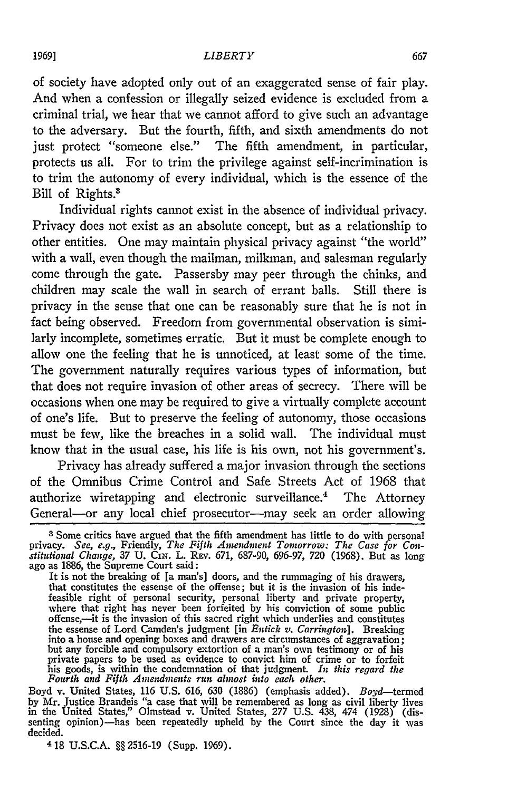of society have adopted only out of an exaggerated sense of fair play. And when a confession or illegally seized evidence is excluded from a criminal trial, we hear that we cannot afford to give such an advantage to the adversary. But the fourth, fifth, and sixth amendments do not just protect "someone else." The fifth amendment, in particular, protects us all. For to trim the privilege against self-incrimination is to trim the autonomy of every individual, which is the essence of the Bill of Rights.3

Individual rights cannot exist in the absence of individual privacy. Privacy does not exist as an absolute concept, but as a relationship to other entities. One may maintain physical privacy against "the world" with a wall, even though the mailman, milkman, and salesman regularly come through the gate. Passersby may peer through the chinks, and children may scale the wall in search of errant balls. Still there is privacy in the sense that one can be reasonably sure that he is not in fact being observed. Freedom from governmental observation is similarly incomplete, sometimes erratic. But it must be complete enough to allow one the feeling that he is unnoticed, at least some of the time. The government naturally requires various types of information, but that does not require invasion of other areas of secrecy. There will be occasions when one may be required to give a virtually complete account of one's life. But to preserve the feeling of autonomy, those occasions must be few, like the breaches in a solid wall. The individual must know that in the usual case, his life is his own, not his government's.

Privacy has already suffered a major invasion through the sections of the Omnibus Crime Control and Safe Streets Act of 1968 that authorize wiretapping and electronic surveillance.<sup>4</sup> The Attorney General-or any local chief prosecutor--may seek an order allowing

It is not the breaking of [a man's] doors, and the rummaging of his drawers that constitutes the essense of the offense; but it is the invasion of his indeeasible right of personal security, personal liberty and private property,<br>where that right has never been forfeited by his conviction of some public<br>offense,—it is the invasion of this sacred right which underlies and con of the essence of Lord Camden's judgment [in *Butick v*, *Carrington*]. Breaking<br>into a house and opening boxes and drawers are circumstances of aggravation; private papers to be used as evidence to convict him of crime or to forfeit his goods, is within the condemnation of that judgment. *In this regard the Fourth and Fifth Amendments run almost into each other.*

Boyd v. United States, 116 U.S. 616, 630 (1886) (emphasis added). *Boyd*—termed by Mr. Justice Brandeis "a case that will be remembered as long as civil liberty lives in the United States," Olmstead v. United States, 277 U.S. 438, 474 (1928) (dis- senting opinion)-has been repeatedly upheld by the Court since the day it was decided.

4 18 U.S.C.A. §§ 2516-19 (Supp. 1969).

**<sup>3</sup>**Some critics have argued that the fifth amendment has little to do with personal privacy. *See,* e.g., Friendly, *The Fifth Amendment Tomorrow: The Case for Constitutional Change,* 37 U. CIN. L. **REV.** 671, 687-90, 696-97, 720 (1968). But as long ago as 1886, the Supreme Court said: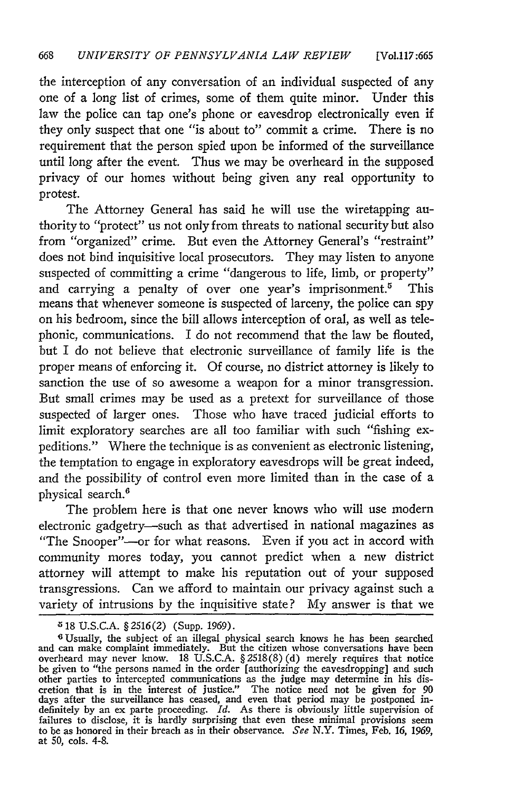the interception of any conversation of an individual suspected of any one of a long list of crimes, some of them quite minor. Under this law the police can tap one's phone or eavesdrop electronically even if they only suspect that one "is about to" commit a crime. There is no requirement that the person spied upon be informed of the surveillance until long after the event. Thus we may be overheard in the supposed privacy of our homes without being given any real opportunity to protest.

The Attorney General has said he will use the wiretapping authority to "protect" us not only from threats to national security but also from "organized" crime. But even the Attorney General's "restraint" does not bind inquisitive local prosecutors. They may listen to anyone suspected of committing a crime "dangerous to life, limb, or property" and carrying a penalty of over one year's imprisonment.<sup>5</sup> This means that whenever someone is suspected of larceny, the police can spy on his bedroom, since the bill allows interception of oral, as well as telephonic, communications. I do not recommend that the law be flouted, but I do not believe that electronic surveillance of family life is the proper means of enforcing it. Of course, no district attorney is likely to sanction the use of so awesome a weapon for a minor transgression. But small crimes may be used as a pretext for surveillance of those suspected of larger ones. Those who have traced judicial efforts to limit exploratory searches are all too familiar with such "fishing expeditions." Where the technique is as convenient as electronic listening, the temptation to engage in exploratory eavesdrops will be great indeed, and the possibility of control even more limited than in the case of a physical search.<sup>6</sup>

The problem here is that one never knows who will use modern electronic gadgetry-such as that advertised in national magazines as "The Snooper"-or for what reasons. Even if you act in accord with community mores today, you cannot predict when a new district attorney will attempt to make his reputation out of your supposed transgressions. Can we afford to maintain our privacy against such a variety of intrusions by the inquisitive state? My answer is that we

<sup>5 18</sup> U.S.C.A. §2516(2) (Supp. 1969).

 $\overline{6}$  Usually, the subject of an illegal physical search knows he has been searched and can make complaint immediately. But the citizen whose conversations have been overheard may never know. 18 U.S.C.A. § 2518(8) (d) merely requires that notice be given to "the persons named in the order [authorizing the eavesdropping] and such other parties to intercepted communications as the judge may determine in his discretion that is in the interest of justice." The notice need not be given for 90 days after the surveillance has ceased, and even that period may be postponed indefinitely by an ex parte proceeding. *Id.* As there is obviously little supervision of failures to disclose, it is hardly surprising that even these minimal provisions seem to be as honored in their breach as in their observance. *See* N.Y. Times, Feb. 16, *1969,* at 50, cols. 4-8.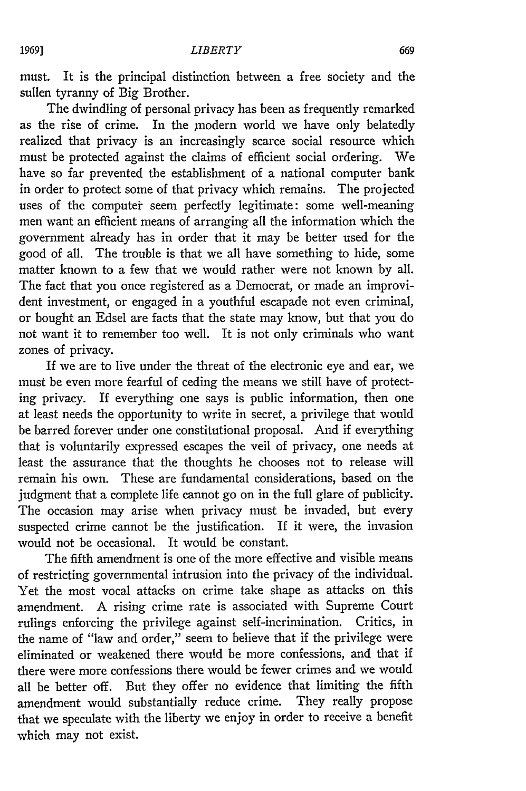must. It is the principal distinction between a free society and the sullen tyranny of Big Brother.

The dwindling of personal privacy has been as frequently remarked as the rise of crime. In the modern world we have only belatedly realized that privacy is an increasingly scarce social resource which must be protected against the claims of efficient social ordering. We have so far prevented the establishment of a national computer bank in order to protect some of that privacy which remains. The projected uses of the computei seem perfectly legitimate: some well-meaning men want an efficient means of arranging all the information which the government already has in order that it may be better used for the good of all. The trouble is that we all have something to hide, some matter known to a few that we would rather were not known by all. The fact that you once registered as a Democrat, or made an improvident investment, or engaged in a youthful escapade not even criminal, or bought an Edsel are facts that the state may know, but that you do not want it to remember too well. It is not only criminals who want zones of privacy.

If we are to live under the threat of the electronic eye and ear, we must be even more fearful of ceding the means we still have of protecting privacy. If everything one says is public information, then one at least needs the opportunity to write in secret, a privilege that would be barred forever under one constitutional proposal. And if everything that is voluntarily expressed escapes the veil of privacy, one needs at least the assurance that the thoughts he chooses not to release will remain his own. These are fundamental considerations, based on the judgment that a complete life cannot go on in the full glare of publicity. The occasion may arise when privacy must be invaded, but every suspected crime cannot be the justification. If it were, the invasion would not be occasional. It would be constant.

The fifth amendment is one of the more effective and visible means of restricting governmental intrusion into the privacy of the individual. Yet the most vocal attacks on crime take shape as attacks on this amendment. A rising crime rate is associated with Supreme Court rulings enforcing the privilege against self-incrimination. Critics, in the name of "law and order," seem to believe that if the privilege were eliminated or weakened there would be more confessions, and that if there were more confessions there would be fewer crimes and we would all be better off. But they offer no evidence that limiting the fifth amendment would substantially reduce crime. They really propose that we speculate with the liberty we enjoy in order to receive a benefit which may not exist.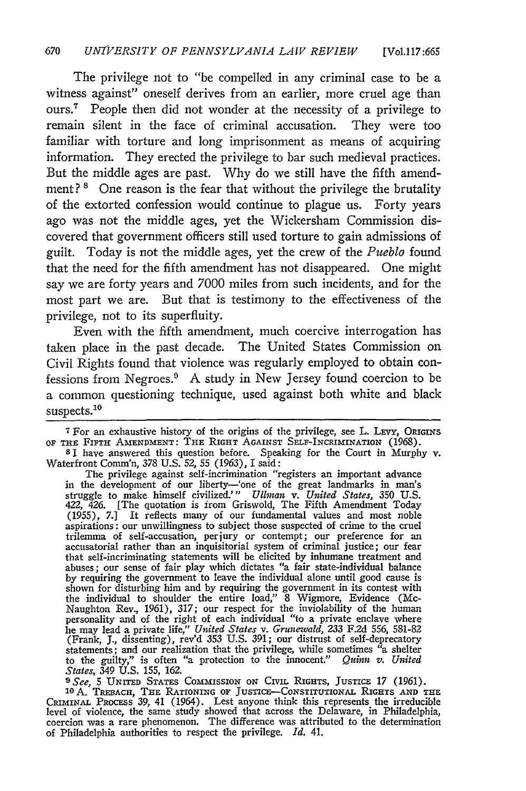The privilege not to "be compelled in any criminal case to be a witness against" oneself derives from an earlier, more cruel age than ours.7 People then did not wonder at the necessity of a privilege to remain silent in the face of criminal accusation. They were too familiar with torture and long imprisonment as means of acquiring information. They erected the privilege to bar such medieval practices. But the middle ages are past. Why do we still have the fifth amendment?<sup>8</sup> One reason is the fear that without the privilege the brutality of the extorted confession would continue to plague us. Forty years ago was not the middle ages, yet the Wickersham Commission discovered that government officers still used torture to gain admissions of guilt. Today is not the middle ages, yet the crew of the *Pueblo* found that the need for the fifth amendment has not disappeared. One might say we are forty years and 7000 miles from such incidents, and for the most part we are. But that is testimony to the effectiveness of the privilege, not to its superfluity.

Even with the fifth amendment, much coercive interrogation has taken place in the past decade. The United States Commission on Civil Rights found that violence was regularly employed to obtain confessions from Negroes.' A study in New Jersey found coercion to be a common questioning technique, used against both white and black suspects.<sup>10</sup>

The privilege against self-incrimination "registers an important advance in the development of our liberty-'one of the great landmarks in man's struggle to make himself civilized.'" *Ulhman v. United States,* 350 U.S. 422, 426. [The quotation is from Griswold, The Fifth Amendment Today (1955), 7.] It reflects many of our fundamental values and most noble aspirations: our unwillingness to subject those suspected of crime to the cruel trilemma of self-accusation, perjury or contempt; our preference for an accusatorial rather than an inquisitorial system of criminal justice; our fear that self-incriminating statements will be elicited by inhumane treatment and abuses; our sense of fair play which dictates "a fair state-individual balance by requiring the government to leave the individual alone until good cause is shown for disturbing him and by requiring the government in its contest with the individual to shoulder the entire load," 8 Wigmore, Evidence (Mc-Naughton Rev., 1961), 317; our respect for the inviolability of the human personality and of the right of each individual "to a private enclave where he may lead a private life," *United States v. Grunewald,* 233 F.2d 556, 581-82 (Frank, J., dissenting), rev'd 353 U.S. 391; our distrust of self-deprecatory statements; and our realization that the privilege, while sometimes "a shelter to the guilty," is often "a protection to the innocent." *Quinn v. United States,* 349 U.S. 155, 162. *<sup>9</sup>See,* 5 UNITED STATES COMMISSION ON CiviL RIGHTS, JUSTICE 17 (1961).

**10A.** TREBACH, THE RATIONING **OF** JUSTICE-CONSTITUTIONAL RIGHTS **AND** THE CRIMINAL PROCESS 39, 41 (1964). Lest anyone think this represents the irreducible level of violence, the same study showed that across the Delaware, in Philadelphia, coercion was a rare phenomenon. The difference was attributed to the determination of Philadelphia authorities to respect the privilege. *Id.* 41.

<sup>7</sup>For an exhaustive history of the origins of the privilege, see L. LEVY, ORIGINS OF **THE** FIFTH **AMENDMENT:** THE RIGHT **AGAINST** SELF-INcRIMINATION (1968).

**<sup>8</sup> 1** have answered this question before. Speaking for the Court in Murphy v. Waterfront Comm'n, 378 U.S. 52, 55 (1963), I said: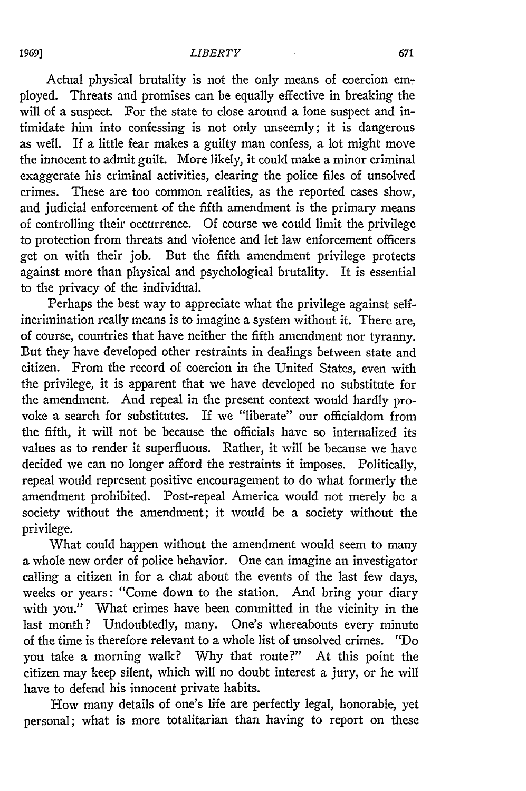Actual physical brutality is not the only means of coercion employed. Threats and promises can be equally effective in breaking the will of a suspect. For the state to close around a lone suspect and intimidate him into confessing is not only unseemly; it is dangerous as well. If a little fear makes a guilty man confess, a lot might move the innocent to admit guilt. More likely, it could make a minor criminal exaggerate his criminal activities, clearing the police files of unsolved crimes. These are too common realities, as the reported cases show, and judicial enforcement of the fifth amendment is the primary means of controlling their occurrence. Of course we could limit the privilege to protection from threats and violence and let law enforcement officers get on with their job. But the fifth amendment privilege protects against more than physical and psychological brutality. It is essential to the privacy of the individual.

Perhaps the best way to appreciate what the privilege against selfincrimination really means is to imagine a system without it. There are, of course, countries that have neither the fifth amendment nor tyranny. But they have developed other restraints in dealings between state and citizen. From the record of coercion in the United States, even with the privilege, it is apparent that we have developed no substitute for the amendment. And repeal in the present context would hardly provoke a search for substitutes. If we "liberate" our officialdom from the fifth, it will not be because the officials have so internalized its values as to render it superfluous. Rather, it will be because we have decided we can no longer afford the restraints it imposes. Politically, repeal would represent positive encouragement to do what formerly the amendment prohibited. Post-repeal America would not merely be a society without the amendment; it would be a society without the privilege.

What could happen without the amendment would seem to many a whole new order of police behavior. One can imagine an investigator calling a citizen in for a chat about the events of the last few days, weeks or years: "Come down to the station. And bring your diary with you." What crimes have been committed in the vicinity in the last month? Undoubtedly, many. One's whereabouts every minute of the time is therefore relevant to a whole list of unsolved crimes. "Do you take a morning walk? **Why** that route?" At this point the citizen may keep silent, which will no doubt interest a jury, or he will have to defend his innocent private habits.

How many details of one's life are perfectly legal, honorable, yet personal; what is more totalitarian than having to report on these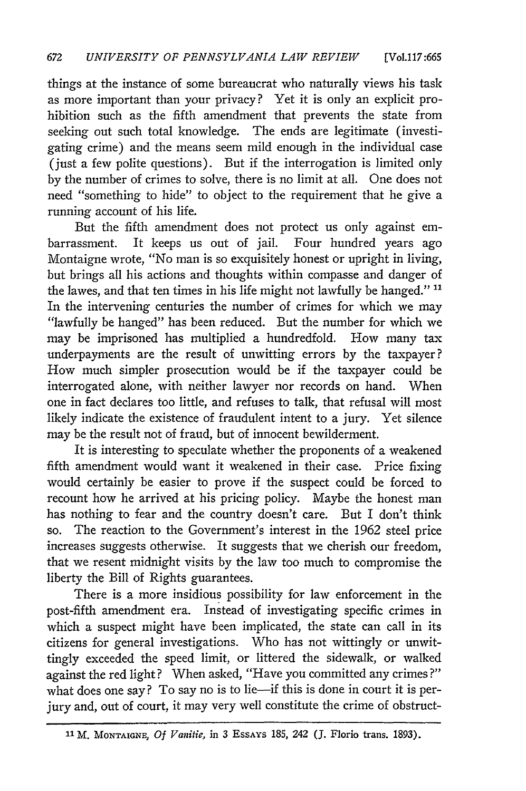things at the instance of some bureaucrat who naturally views his task as more important than your privacy? Yet it is only an explicit prohibition such as the fifth amendment that prevents the state from seeking out such total knowledge. The ends are legitimate (investigating crime) and the means seem mild enough in the individual case (just a few polite questions). But if the interrogation is limited only by the number of crimes to solve, there is no limit at all. One does not need "something to hide" to object to the requirement that he give a running account of his life.

But the fifth amendment does not protect us only against embarrassment. It keeps us out of jail. Four hundred years ago Montaigne wrote, "No man is so exquisitely honest or upright in living, but brings all his actions and thoughts within compasse and danger of the lawes, and that ten times in his life might not lawfully be hanged." **"** In the intervening centuries the number of crimes for which we may "lawfully be hanged" has been reduced. But the number for which we may be imprisoned has multiplied a hundredfold. How many tax underpayments are the result of unwitting errors by the taxpayer? How much simpler prosecution would be if the taxpayer could be interrogated alone, with neither lawyer nor records on hand. When one in fact declares too little, and refuses to talk, that refusal will most likely indicate the existence of fraudulent intent to a jury. Yet silence may be the result not of fraud, but of innocent bewilderment.

It is interesting to speculate whether the proponents of a weakened fifth amendment would want it weakened in their case. Price fixing would certainly be easier to prove if the suspect could be forced to recount how he arrived at his pricing policy. Maybe the honest man has nothing to fear and the country doesn't care. But I don't think so. The reaction to the Government's interest in the 1962 steel price increases suggests otherwise. It suggests that we cherish our freedom, that we resent midnight visits by the law too much to compromise the liberty the Bill of Rights guarantees.

There is a more insidious possibility for law enforcement in the post-fifth amendment era. Instead of investigating specific crimes in which a suspect might have been implicated, the state can call in its citizens for general investigations. Who has not wittingly or unwittingly exceeded the speed limit, or littered the sidewalk, or walked against the red light? When asked, "Have you committed any crimes ?" what does one say? To say no is to lie-if this is done in court it is perjury and, out of court, it may very well constitute the crime of obstruct-

**<sup>11</sup>**M. **MONTAIGNE,** *Of Vanitie,* in **3** ESSAYS **185, 242 (J.** Florio trans. **1893).**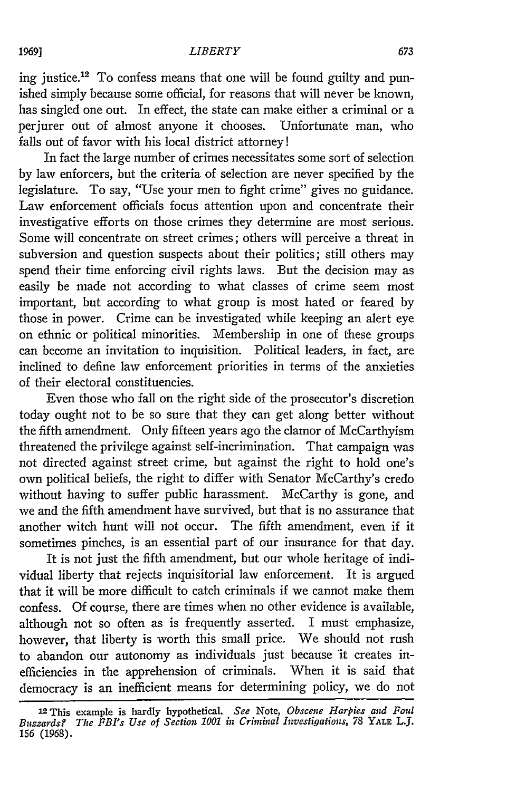ing justice.<sup>12</sup> To confess means that one will be found guilty and punished simply because some official, for reasons that will never be known, has singled one out. In effect, the state can make either a criminal or a perjurer out of almost anyone it chooses. Unfortunate man, who falls out of favor with his local district attorney!

In fact the large number of crimes necessitates some sort of selection **by** law enforcers, but the criteria of selection are never specified **by** the legislature. To say, "Use your men to fight crime" gives no guidance. Law enforcement officials focus attention upon and concentrate their investigative efforts on those crimes they determine are most serious. Some will concentrate on street crimes; others will perceive a threat in subversion and question suspects about their politics; still others may spend their time enforcing civil rights laws. But the decision may as easily be made not according to what classes of crime seem most important, but according to what group is most hated or feared **by** those in power. Crime can be investigated while keeping an alert eye on ethnic or political minorities. Membership in one of these groups can become an invitation to inquisition. Political leaders, in fact, are inclined to define law enforcement priorities in terms of the anxieties of their electoral constituencies.

Even those who fall on the right side of the prosecutor's discretion today ought not to be so sure that they can get along better without the fifth amendment. Only fifteen years ago the clamor of McCarthyism threatened the privilege against self-incrimination. That campaign was not directed against street crime, but against the right to hold one's own political beliefs, the right to differ with Senator McCarthy's credo without having to suffer public harassment. McCarthy is gone, and we and the fifth amendment have survived, but that is no assurance that another witch hunt will not occur. The fifth amendment, even if it sometimes pinches, is an essential part of our insurance for that day.

It is not just the fifth amendment, but our whole heritage of individual liberty that rejects inquisitorial law enforcement. It is argued that it will be more difficult to catch criminals if we cannot make them confess. Of course, there are times when no other evidence is available, although not so often as is frequently asserted. I must emphasize, however, that liberty is worth this small price. We should not rush to abandon our autonomy as individuals just because it creates inefficiencies in the apprehension of criminals. When it is said that democracy is an inefficient means for determining policy, we do not

<sup>12</sup> This example is hardly hypothetical. *See* Note, *Obscene Harpies and Foul Buzzards? The FBI's Use of Section 1001 in Criminal Investigations,* **78** YALE **L.J.** *156* (1968).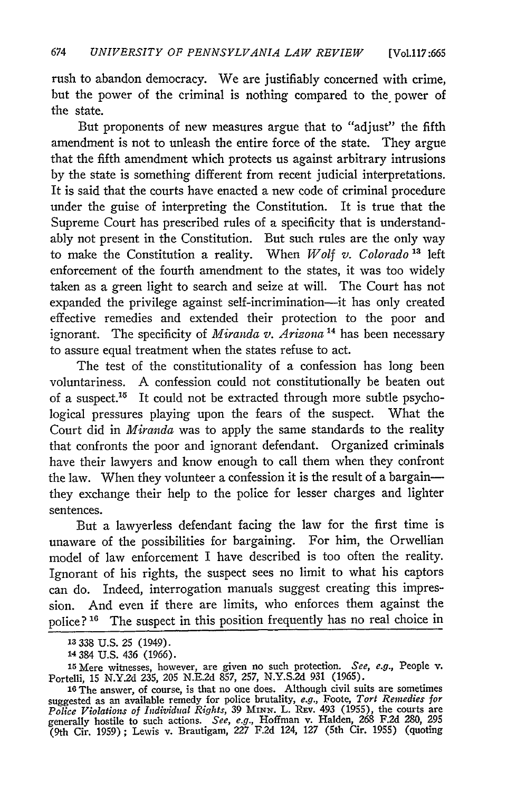rush to abandon democracy. We are justifiably concerned with crime, but the power of the criminal is nothing compared to the power of the state.

But proponents of new measures argue that to "adjust" the fifth amendment is not to unleash the entire force of the state. They argue that the fifth amendment which protects us against arbitrary intrusions **by** the state is something different from recent judicial interpretations. It is said that the courts have enacted a new code of criminal procedure under the guise of interpreting the Constitution. It is true that the Supreme Court has prescribed rules of a specificity that is understandably not present in the Constitution. But such rules are the only way to make the Constitution a reality. When *Wolf v. Colorado "a* left enforcement of the fourth amendment to the states, it was too widely taken as a green light to search and seize at will. The Court has not expanded the privilege against self-incrimination---it has only created effective remedies and extended their protection to the poor and ignorant. The specificity of *Miranda v. Arizona* 1 4 has been necessary to assure equal treatment when the states refuse to act.

The test of the constitutionality of a confession has long been voluntariness. A confession could not constitutionally be beaten out of a suspect.<sup>15</sup> It could not be extracted through more subtle psychological pressures playing upon the fears of the suspect. What the Court did in *Miranda* was to apply the same standards to the reality that confronts the poor and ignorant defendant. Organized criminals have their lawyers and know enough to call them when they confront the law. When they volunteer a confession it is the result of a bargainthey exchange their help to the police for lesser charges and lighter sentences.

But a lawyerless defendant facing the law for the first time is unaware of the possibilities for bargaining. For him, the Orwellian model of law enforcement I have described is too often the reality. Ignorant of his rights, the suspect sees no limit to what his captors can do. Indeed, interrogation manuals suggest creating this impression. And even if there are limits, who enforces them against the police?<sup>16</sup> The suspect in this position frequently has no real choice in

**<sup>13</sup>**338 U.S. 25 (1949).

<sup>14384</sup> U.S. 436 (1966).

**<sup>15</sup>**Mere witnesses, however, are given no such protection. *See,* e.g., People v. Portelli, 15 N.Y.2d 235, 205 N.E.2d 857, 257, N.Y.S.2d 931 (1965).

**<sup>16</sup>** The answer, of course, is that no one does. Although civil suits are sometimes suggested as an available remedy for police brutality, *e.g.,* Foote, *Tort Remedies for Police Violations of Individual Rights,* **39** MINN. L. REv. 493 (1955), the courts are generally hostile to such actions. *See, e.g.,* Hoffman v. Halden, **268 F.2d** 280, 295 (9th Cir. 1959); Lewis v. Brautigam, **227** F.2d 124, **127** (5th Cir. 1955) (quoting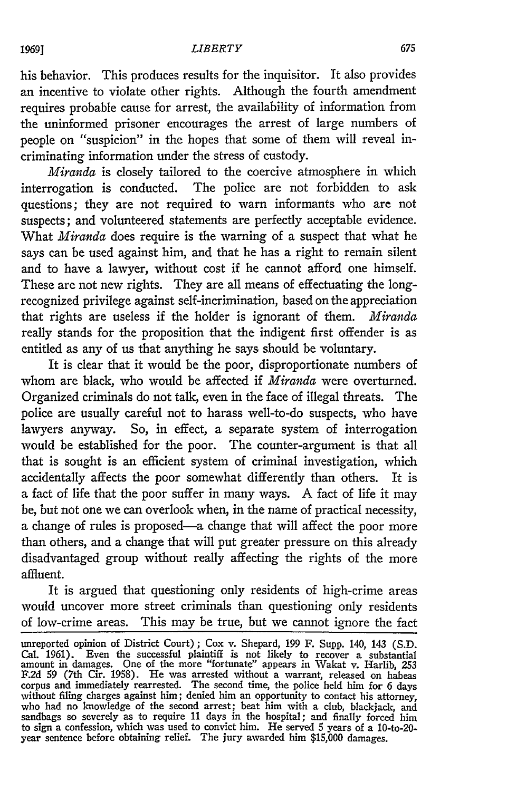his behavior. This produces results for the inquisitor. It also provides an incentive to violate other rights. Although the fourth amendment requires probable cause for arrest, the availability of information from the uninformed prisoner encourages the arrest of large numbers of people on "suspicion" in the hopes that some of them will reveal incriminating information under the stress of custody.

*Miranda* is closely tailored to the coercive atmosphere in which interrogation is conducted. The police are not forbidden to ask questions; they are not required to warn informants who are not suspects; and volunteered statements are perfectly acceptable evidence. What *Miranda* does require is the warning of a suspect that what he says can be used against him, and that he has a right to remain silent and to have a lawyer, without cost if he cannot afford one himself. These are not new rights. They are all means of effectuating the longrecognized privilege against self-incrimination, based on the appreciation that rights are useless if the holder is ignorant of them. *Miranda* really stands for the proposition that the indigent first offender is as entitled as any of us that anything he says should be voluntary.

It is clear that it would be the poor, disproportionate numbers of whom are black, who would be affected if *Miranda* were overturned. Organized criminals do not talk, even in the face of illegal threats. The police are usually careful not to harass well-to-do suspects, who have lawyers anyway. So, in effect, a separate system of interrogation would be established for the poor. The counter-argument is that all that is sought is an efficient system of criminal investigation, which accidentally affects the poor somewhat differently than others. It is a fact of life that the poor suffer in many ways. A fact of life it may be, but not one we can overlook when, in the name of practical necessity, a change of rules is proposed-a change that will affect the poor more than others, and a change that will put greater pressure on this already disadvantaged group without really affecting the rights of the more affluent.

It is argued that questioning only residents of high-crime areas would uncover more street criminals than questioning only residents of low-crime areas. This may be true, but we cannot ignore the fact

unreported opinion of District Court) ; Cox v. Shepard, 199 F. Supp. 140, 143 (S.D. Cal. 1961). Even the successful plaintiff is not likely to recover a substantial amount in damages. One of the more "fortunate" appears in Wakat v. Harlib, 253 F.2d 59 (7th Cir. 1958). He was arrested without a warrant, released on habeas corpus and immediately rearrested. The second time, the police held him for 6 days without filing charges against him; denied him an opportunity to contact his attorney, who had no knowledge of the second arrest; beat him with a club, blackjack, and sandbags so severely as to require 11 days in the hospital; and finally forced him to sign a confession, which was used to convict him. He served 5 years of a 10-to-20 year sentence before obtaining relief. The jury awarded him \$15,000 damages.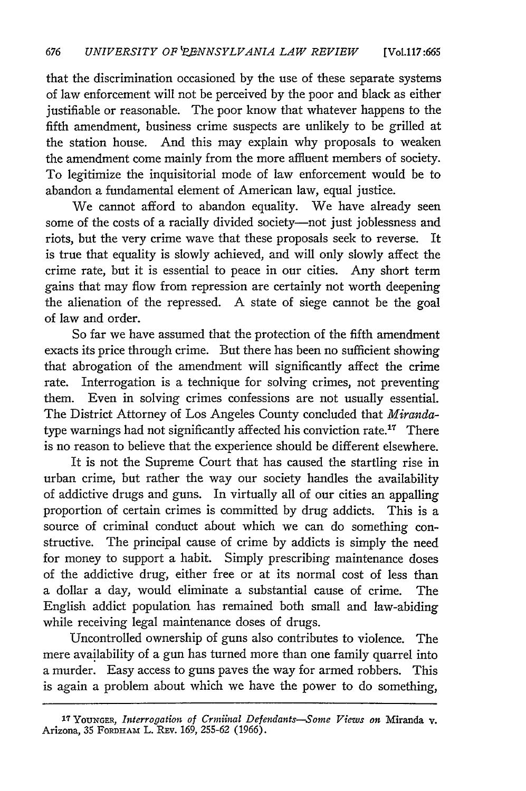that the discrimination occasioned by the use of these separate systems of law enforcement will not be perceived by the poor and black as either justifiable or reasonable. The poor know that whatever happens to the fifth amendment, business crime suspects are unlikely to be grilled at the station house. And this may explain why proposals to weaken the amendment come mainly from the more affluent members of society. To legitimize the inquisitorial mode of law enforcement would be to abandon a fundamental element of American law, equal justice.

We cannot afford to abandon equality. We have already seen some of the costs of a racially divided society---not just joblessness and riots, but the very crime wave that these proposals seek to reverse. It is true that equality is slowly achieved, and will only slowly affect the crime rate, but it is essential to peace in our cities. Any short term gains that may flow from repression are certainly not worth deepening the alienation of the repressed. A state of siege cannot be the goal of law and order.

So far we have assumed that the protection of the fifth amendment exacts its price through crime. But there has been no sufficient showing that abrogation of the amendment will significantly affect the crime rate. Interrogation is a technique for solving crimes, not preventing them. Even in solving crimes confessions are not usually essential. The District Attorney of Los Angeles County concluded that *Miranda*type warnings had not significantly affected his conviction rate.<sup>17</sup> There is no reason to believe that the experience should be different elsewhere.

It is not the Supreme Court that has caused the startling rise in urban crime, but rather the way our society handles the availability of addictive drugs and guns. In virtually all of our cities an appalling proportion of certain crimes is committed by drug addicts. This is a source of criminal conduct about which we can do something constructive. The principal cause of crime by addicts is simply the need for money to support a habit. Simply prescribing maintenance doses of the addictive drug, either free or at its normal cost of less than a dollar a day, would eliminate a substantial cause of crime. The English addict population has remained both small and law-abiding while receiving legal maintenance doses of drugs.

Uncontrolled ownership of guns also contributes to violence. The mere availability of a gun has turned more than one family quarrel into a murder. Easy access to guns paves the way for armed robbers. This is again a problem about which we have the power to do something,

*<sup>17</sup>***YOUNGER,** *Interrogation of Crmiinal Defendants-Some Views on* Miranda **v.** Arizona, **35** FORDHAMi L. **REv. 169, 255-62** (1966).